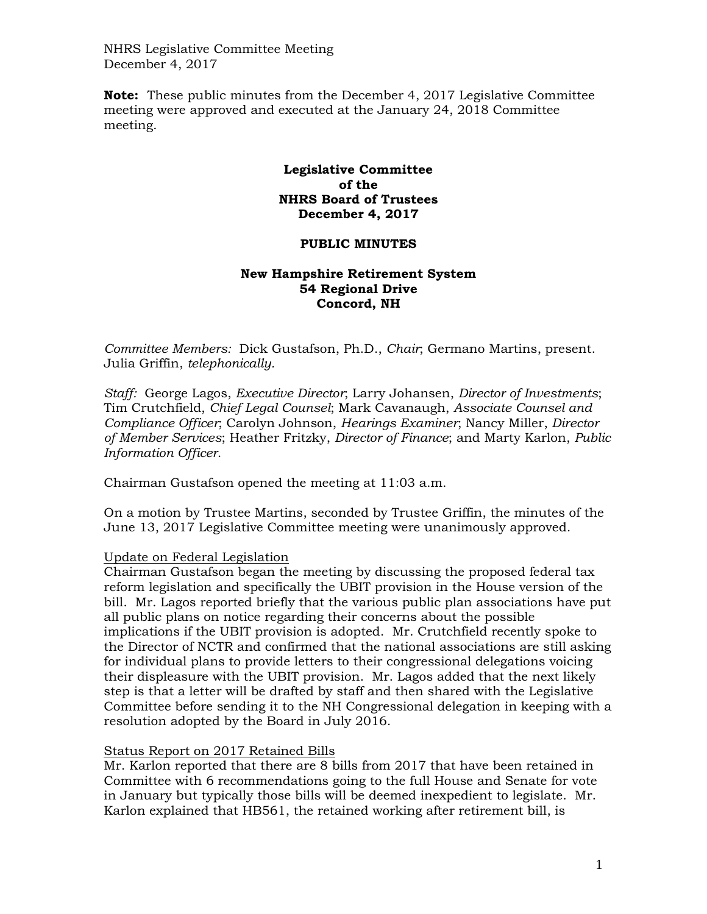NHRS Legislative Committee Meeting December 4, 2017

**Note:** These public minutes from the December 4, 2017 Legislative Committee meeting were approved and executed at the January 24, 2018 Committee meeting.

# **Legislative Committee of the NHRS Board of Trustees December 4, 2017**

# **PUBLIC MINUTES**

## **New Hampshire Retirement System 54 Regional Drive Concord, NH**

*Committee Members:* Dick Gustafson, Ph.D., *Chair*; Germano Martins, present. Julia Griffin, *telephonically.*

*Staff:* George Lagos, *Executive Director*; Larry Johansen, *Director of Investments*; Tim Crutchfield, *Chief Legal Counsel*; Mark Cavanaugh, *Associate Counsel and Compliance Officer*; Carolyn Johnson, *Hearings Examiner*; Nancy Miller, *Director of Member Services*; Heather Fritzky, *Director of Finance*; and Marty Karlon, *Public Information Officer*.

Chairman Gustafson opened the meeting at 11:03 a.m.

On a motion by Trustee Martins, seconded by Trustee Griffin, the minutes of the June 13, 2017 Legislative Committee meeting were unanimously approved.

#### Update on Federal Legislation

Chairman Gustafson began the meeting by discussing the proposed federal tax reform legislation and specifically the UBIT provision in the House version of the bill. Mr. Lagos reported briefly that the various public plan associations have put all public plans on notice regarding their concerns about the possible implications if the UBIT provision is adopted. Mr. Crutchfield recently spoke to the Director of NCTR and confirmed that the national associations are still asking for individual plans to provide letters to their congressional delegations voicing their displeasure with the UBIT provision. Mr. Lagos added that the next likely step is that a letter will be drafted by staff and then shared with the Legislative Committee before sending it to the NH Congressional delegation in keeping with a resolution adopted by the Board in July 2016.

# Status Report on 2017 Retained Bills

Mr. Karlon reported that there are 8 bills from 2017 that have been retained in Committee with 6 recommendations going to the full House and Senate for vote in January but typically those bills will be deemed inexpedient to legislate. Mr. Karlon explained that HB561, the retained working after retirement bill, is